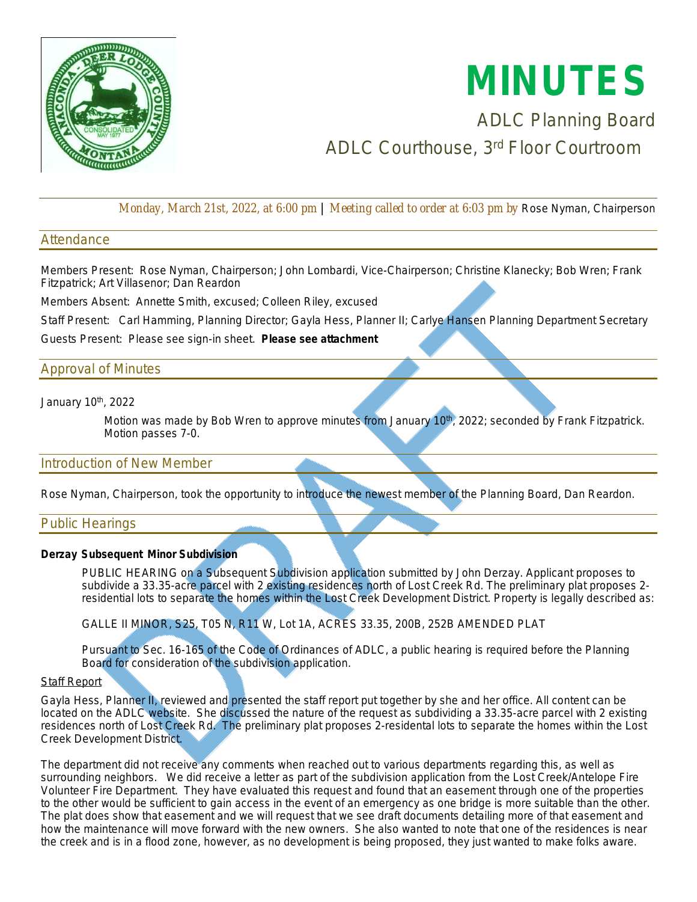

# **MINUTES**

# ADLC Planning Board ADLC Courthouse, 3rd Floor Courtroom

*Monday, March 21st, 2022, at 6:00 pm* | *Meeting called to order at 6:03 pm by* Rose Nyman, Chairperson

# **Attendance**

Members Present: Rose Nyman, Chairperson; John Lombardi, Vice-Chairperson; Christine Klanecky; Bob Wren; Frank Fitzpatrick; Art Villasenor; Dan Reardon

Members Absent: Annette Smith, excused; Colleen Riley, excused

Staff Present: Carl Hamming, Planning Director; Gayla Hess, Planner II; Carlye Hansen Planning Department Secretary

Guests Present: Please see sign-in sheet. *Please see attachment* 

# Approval of Minutes

January 10th, 2022

*Motion was made by Bob Wren to approve minutes from January 10th, 2022; seconded by Frank Fitzpatrick. Motion passes 7-0.*

# Introduction of New Member

Rose Nyman, Chairperson, took the opportunity to introduce the newest member of the Planning Board, Dan Reardon.

# Public Hearings

# **Derzay Subsequent Minor Subdivision**

PUBLIC HEARING on a Subsequent Subdivision application submitted by John Derzay. Applicant proposes to subdivide a 33.35-acre parcel with 2 existing residences north of Lost Creek Rd. The preliminary plat proposes 2 residential lots to separate the homes within the Lost Creek Development District. Property is legally described as:

GALLE II MINOR, S25, T05 N, R11 W, Lot 1A, ACRES 33.35, 200B, 252B AMENDED PLAT

Pursuant to Sec. 16-165 of the Code of Ordinances of ADLC, a public hearing is required before the Planning Board for consideration of the subdivision application.

#### **Staff Report**

Gayla Hess, Planner II, reviewed and presented the staff report put together by she and her office. All content can be located on the ADLC website. She discussed the nature of the request as subdividing a 33.35-acre parcel with 2 existing residences north of Lost Creek Rd. The preliminary plat proposes 2-residental lots to separate the homes within the Lost Creek Development District.

The department did not receive any comments when reached out to various departments regarding this, as well as surrounding neighbors. We did receive a letter as part of the subdivision application from the Lost Creek/Antelope Fire Volunteer Fire Department. They have evaluated this request and found that an easement through one of the properties to the other would be sufficient to gain access in the event of an emergency as one bridge is more suitable than the other. The plat does show that easement and we will request that we see draft documents detailing more of that easement and how the maintenance will move forward with the new owners. She also wanted to note that one of the residences is near the creek and is in a flood zone, however, as no development is being proposed, they just wanted to make folks aware.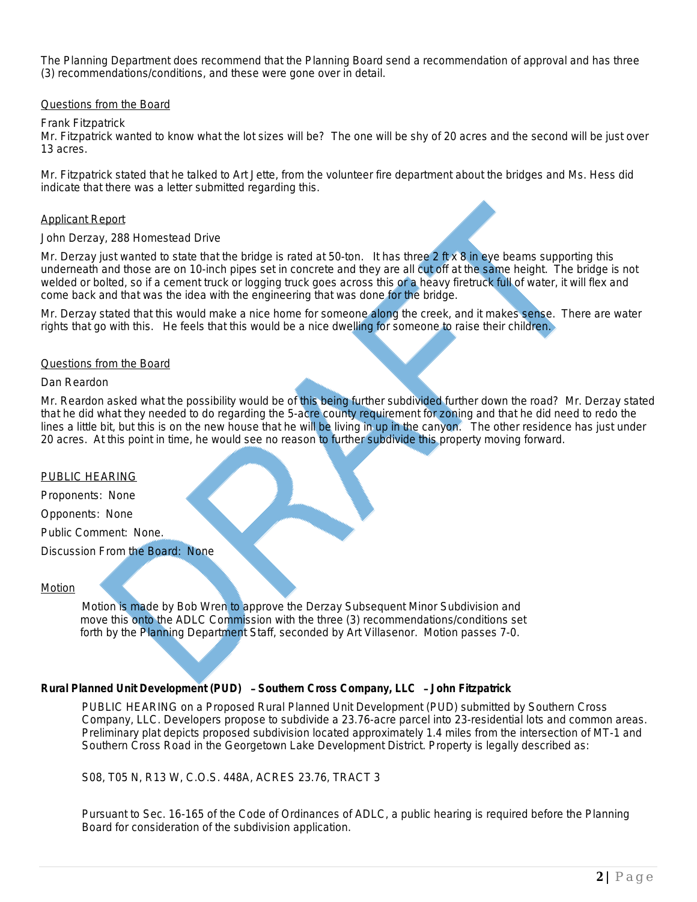The Planning Department does recommend that the Planning Board send a recommendation of approval and has three (3) recommendations/conditions, and these were gone over in detail.

# Questions from the Board

#### *Frank Fitzpatrick*

Mr. Fitzpatrick wanted to know what the lot sizes will be? The one will be shy of 20 acres and the second will be just over 13 acres.

Mr. Fitzpatrick stated that he talked to Art Jette, from the volunteer fire department about the bridges and Ms. Hess did indicate that there was a letter submitted regarding this.

# Applicant Report

#### *John Derzay, 288 Homestead Drive*

Mr. Derzay just wanted to state that the bridge is rated at 50-ton. It has three 2 ft x 8 in eye beams supporting this underneath and those are on 10-inch pipes set in concrete and they are all cut off at the same height. The bridge is not welded or bolted, so if a cement truck or logging truck goes across this or a heavy firetruck full of water, it will flex and come back and that was the idea with the engineering that was done for the bridge.

Mr. Derzay stated that this would make a nice home for someone along the creek, and it makes sense. There are water rights that go with this. He feels that this would be a nice dwelling for someone to raise their children.

# Questions from the Board

#### *Dan Reardon*

Mr. Reardon asked what the possibility would be of this being further subdivided further down the road? Mr. Derzay stated that he did what they needed to do regarding the 5-acre county requirement for zoning and that he did need to redo the lines a little bit, but this is on the new house that he will be living in up in the canyon. The other residence has just under 20 acres. At this point in time, he would see no reason to further subdivide this property moving forward.

#### PUBLIC HEARING

Proponents: None

Opponents: None

Public Comment: None.

Discussion From the Board: None

# Motion

 *Motion is made by Bob Wren to approve the Derzay Subsequent Minor Subdivision and move this onto the ADLC Commission with the three (3) recommendations/conditions set forth by the Planning Department Staff, seconded by Art Villasenor. Motion passes 7-0.*

# **Rural Planned Unit Development (PUD)** – **Southern Cross Company, LLC** – **John Fitzpatrick**

PUBLIC HEARING on a Proposed Rural Planned Unit Development (PUD) submitted by Southern Cross Company, LLC. Developers propose to subdivide a 23.76-acre parcel into 23-residential lots and common areas. Preliminary plat depicts proposed subdivision located approximately 1.4 miles from the intersection of MT-1 and Southern Cross Road in the Georgetown Lake Development District. Property is legally described as:

S08, T05 N, R13 W, C.O.S. 448A, ACRES 23.76, TRACT 3

Pursuant to Sec. 16-165 of the Code of Ordinances of ADLC, a public hearing is required before the Planning Board for consideration of the subdivision application.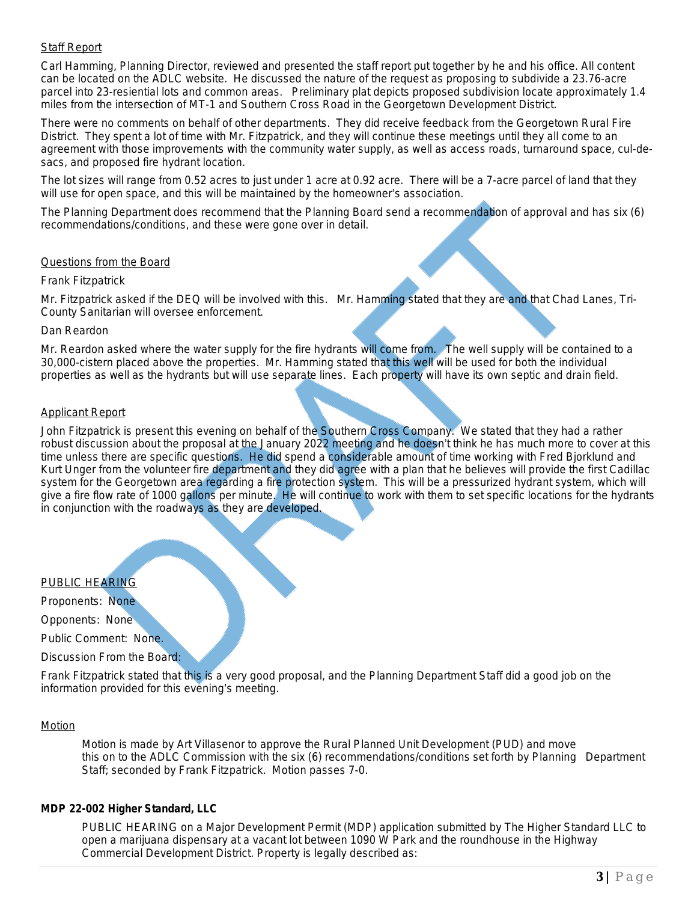# Staff Report

Carl Hamming, Planning Director, reviewed and presented the staff report put together by he and his office. All content can be located on the ADLC website. He discussed the nature of the request as proposing to subdivide a 23.76-acre parcel into 23-resiential lots and common areas. Preliminary plat depicts proposed subdivision locate approximately 1.4 miles from the intersection of MT-1 and Southern Cross Road in the Georgetown Development District.

There were no comments on behalf of other departments. They did receive feedback from the Georgetown Rural Fire District. They spent a lot of time with Mr. Fitzpatrick, and they will continue these meetings until they all come to an agreement with those improvements with the community water supply, as well as access roads, turnaround space, cul-desacs, and proposed fire hydrant location.

The lot sizes will range from 0.52 acres to just under 1 acre at 0.92 acre. There will be a 7-acre parcel of land that they will use for open space, and this will be maintained by the homeowner's association.

The Planning Department does recommend that the Planning Board send a recommendation of approval and has six (6) recommendations/conditions, and these were gone over in detail.

#### Questions from the Board

#### Frank Fitzpatrick

Mr. Fitzpatrick asked if the DEQ will be involved with this. Mr. Hamming stated that they are and that Chad Lanes, Tri-County Sanitarian will oversee enforcement.

#### Dan Reardon

Mr. Reardon asked where the water supply for the fire hydrants will come from. The well supply will be contained to a 30,000-cistern placed above the properties. Mr. Hamming stated that this well will be used for both the individual properties as well as the hydrants but will use separate lines. Each property will have its own septic and drain field.

#### Applicant Report

John Fitzpatrick is present this evening on behalf of the Southern Cross Company. We stated that they had a rather robust discussion about the proposal at the January 2022 meeting and he doesn't think he has much more to cover at this time unless there are specific questions. He did spend a considerable amount of time working with Fred Bjorklund and Kurt Unger from the volunteer fire department and they did agree with a plan that he believes will provide the first Cadillac system for the Georgetown area regarding a fire protection system. This will be a pressurized hydrant system, which will give a fire flow rate of 1000 gallons per minute. He will continue to work with them to set specific locations for the hydrants in conjunction with the roadways as they are developed.

#### PUBLIC HEARING

Proponents: None

Opponents: None

Public Comment: None.

Discussion From the Board:

Frank Fitzpatrick stated that this is a very good proposal, and the Planning Department Staff did a good job on the information provided for this evening's meeting.

#### Motion

*Motion is made by Art Villasenor to approve the Rural Planned Unit Development (PUD) and move this on to the ADLC Commission with the six (6) recommendations/conditions set forth by Planning Department Staff; seconded by Frank Fitzpatrick. Motion passes 7-0.*

#### **MDP 22-002 Higher Standard, LLC**

PUBLIC HEARING on a Major Development Permit (MDP) application submitted by The Higher Standard LLC to open a marijuana dispensary at a vacant lot between 1090 W Park and the roundhouse in the Highway Commercial Development District. Property is legally described as: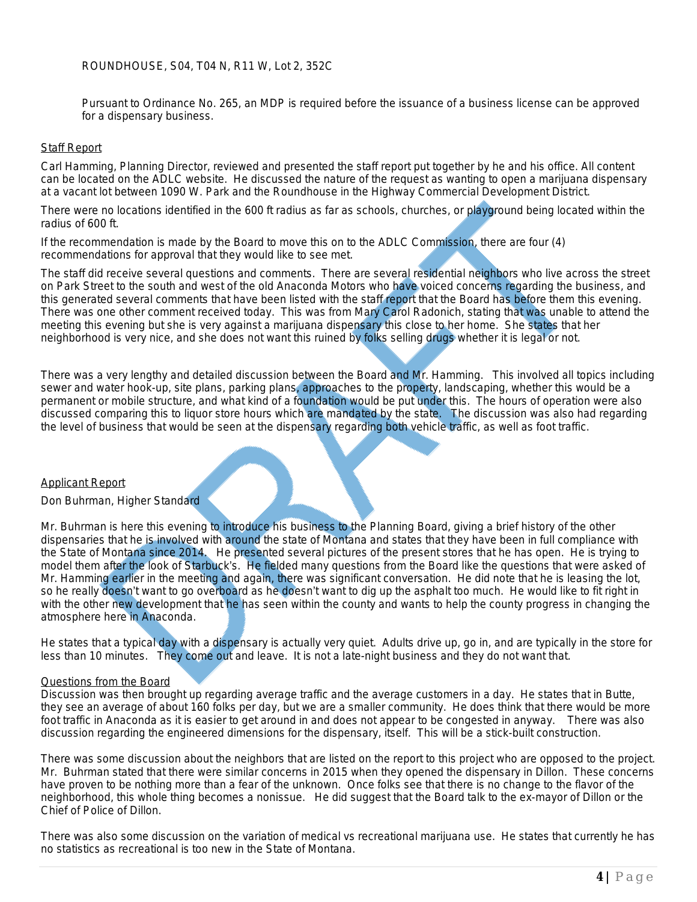ROUNDHOUSE, S04, T04 N, R11 W, Lot 2, 352C

Pursuant to Ordinance No. 265, an MDP is required before the issuance of a business license can be approved for a dispensary business.

#### **Staff Report**

Carl Hamming, Planning Director, reviewed and presented the staff report put together by he and his office. All content can be located on the ADLC website. He discussed the nature of the request as wanting to open a marijuana dispensary at a vacant lot between 1090 W. Park and the Roundhouse in the Highway Commercial Development District.

There were no locations identified in the 600 ft radius as far as schools, churches, or playground being located within the radius of 600 ft.

If the recommendation is made by the Board to move this on to the ADLC Commission, there are four (4) recommendations for approval that they would like to see met.

The staff did receive several questions and comments. There are several residential neighbors who live across the street on Park Street to the south and west of the old Anaconda Motors who have voiced concerns regarding the business, and this generated several comments that have been listed with the staff report that the Board has before them this evening. There was one other comment received today. This was from Mary Carol Radonich, stating that was unable to attend the meeting this evening but she is very against a marijuana dispensary this close to her home. She states that her neighborhood is very nice, and she does not want this ruined by folks selling drugs whether it is legal or not.

There was a very lengthy and detailed discussion between the Board and Mr. Hamming. This involved all topics including sewer and water hook-up, site plans, parking plans, approaches to the property, landscaping, whether this would be a permanent or mobile structure, and what kind of a foundation would be put under this. The hours of operation were also discussed comparing this to liquor store hours which are mandated by the state. The discussion was also had regarding the level of business that would be seen at the dispensary regarding both vehicle traffic, as well as foot traffic.

#### Applicant Report

#### Don Buhrman, Higher Standard

Mr. Buhrman is here this evening to introduce his business to the Planning Board, giving a brief history of the other dispensaries that he is involved with around the state of Montana and states that they have been in full compliance with the State of Montana since 2014. He presented several pictures of the present stores that he has open. He is trying to model them after the look of Starbuck's. He fielded many questions from the Board like the questions that were asked of Mr. Hamming earlier in the meeting and again, there was significant conversation. He did note that he is leasing the lot, so he really doesn't want to go overboard as he doesn't want to dig up the asphalt too much. He would like to fit right in with the other new development that he has seen within the county and wants to help the county progress in changing the atmosphere here in Anaconda.

He states that a typical day with a dispensary is actually very quiet. Adults drive up, go in, and are typically in the store for less than 10 minutes. They come out and leave. It is not a late-night business and they do not want that.

#### Questions from the Board

Discussion was then brought up regarding average traffic and the average customers in a day. He states that in Butte, they see an average of about 160 folks per day, but we are a smaller community. He does think that there would be more foot traffic in Anaconda as it is easier to get around in and does not appear to be congested in anyway. There was also discussion regarding the engineered dimensions for the dispensary, itself. This will be a stick-built construction.

There was some discussion about the neighbors that are listed on the report to this project who are opposed to the project. Mr. Buhrman stated that there were similar concerns in 2015 when they opened the dispensary in Dillon. These concerns have proven to be nothing more than a fear of the unknown. Once folks see that there is no change to the flavor of the neighborhood, this whole thing becomes a nonissue. He did suggest that the Board talk to the ex-mayor of Dillon or the Chief of Police of Dillon.

There was also some discussion on the variation of medical vs recreational marijuana use. He states that currently he has no statistics as recreational is too new in the State of Montana.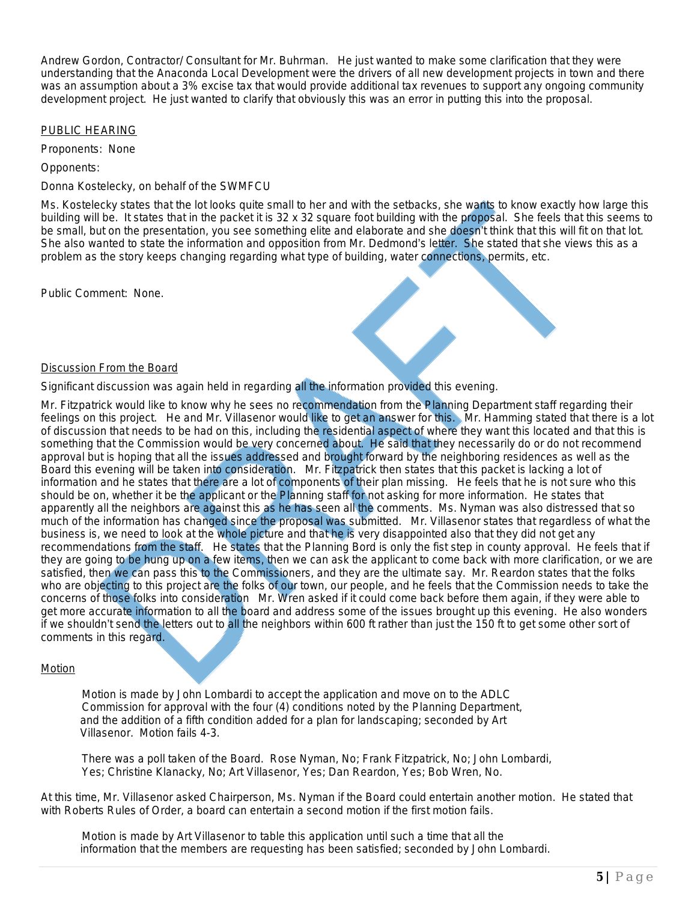Andrew Gordon, Contractor/ Consultant for Mr. Buhrman. He just wanted to make some clarification that they were understanding that the Anaconda Local Development were the drivers of all new development projects in town and there was an assumption about a 3% excise tax that would provide additional tax revenues to support any ongoing community development project. He just wanted to clarify that obviously this was an error in putting this into the proposal.

# PUBLIC HEARING

Proponents: None

Opponents:

Donna Kostelecky, on behalf of the SWMFCU

Ms. Kostelecky states that the lot looks quite small to her and with the setbacks, she wants to know exactly how large this building will be. It states that in the packet it is 32 x 32 square foot building with the proposal. She feels that this seems to be small, but on the presentation, you see something elite and elaborate and she doesn't think that this will fit on that lot. She also wanted to state the information and opposition from Mr. Dedmond's letter. She stated that she views this as a problem as the story keeps changing regarding what type of building, water connections, permits, etc.

Public Comment: None.

#### Discussion From the Board

Significant discussion was again held in regarding all the information provided this evening.

Mr. Fitzpatrick would like to know why he sees no recommendation from the Planning Department staff regarding their feelings on this project. He and Mr. Villasenor would like to get an answer for this. Mr. Hamming stated that there is a lot of discussion that needs to be had on this, including the residential aspect of where they want this located and that this is something that the Commission would be very concerned about. He said that they necessarily do or do not recommend approval but is hoping that all the issues addressed and brought forward by the neighboring residences as well as the Board this evening will be taken into consideration. Mr. Fitzpatrick then states that this packet is lacking a lot of information and he states that there are a lot of components of their plan missing. He feels that he is not sure who this should be on, whether it be the applicant or the Planning staff for not asking for more information. He states that apparently all the neighbors are against this as he has seen all the comments. Ms. Nyman was also distressed that so much of the information has changed since the proposal was submitted. Mr. Villasenor states that regardless of what the business is, we need to look at the whole picture and that he is very disappointed also that they did not get any recommendations from the staff. He states that the Planning Bord is only the fist step in county approval. He feels that if they are going to be hung up on a few items, then we can ask the applicant to come back with more clarification, or we are satisfied, then we can pass this to the Commissioners, and they are the ultimate say. Mr. Reardon states that the folks who are objecting to this project are the folks of our town, our people, and he feels that the Commission needs to take the concerns of those folks into consideration Mr. Wren asked if it could come back before them again, if they were able to get more accurate information to all the board and address some of the issues brought up this evening. He also wonders if we shouldn't send the letters out to all the neighbors within 600 ft rather than just the 150 ft to get some other sort of comments in this regard.

#### Motion

*Motion is made by John Lombardi to accept the application and move on to the ADLC Commission for approval with the four (4) conditions noted by the Planning Department, and the addition of a fifth condition added for a plan for landscaping; seconded by Art Villasenor. Motion fails 4-3.*

*There was a poll taken of the Board. Rose Nyman, No; Frank Fitzpatrick, No; John Lombardi, Yes; Christine Klanacky, No; Art Villasenor, Yes; Dan Reardon, Yes; Bob Wren, No.*

At this time, Mr. Villasenor asked Chairperson, Ms. Nyman if the Board could entertain another motion. He stated that with Roberts Rules of Order, a board can entertain a second motion if the first motion fails.

*Motion is made by Art Villasenor to table this application until such a time that all the information that the members are requesting has been satisfied; seconded by John Lombardi.*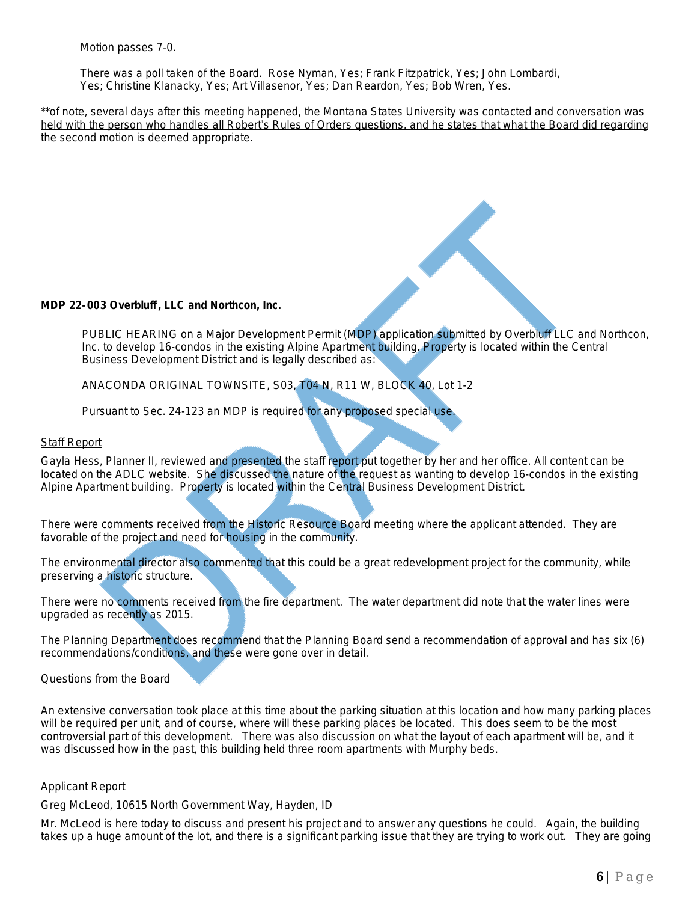*Motion passes 7-0.*

 *There was a poll taken of the Board. Rose Nyman, Yes; Frank Fitzpatrick, Yes; John Lombardi, Yes; Christine Klanacky, Yes; Art Villasenor, Yes; Dan Reardon, Yes; Bob Wren, Yes.*

*\*\*of note, several days after this meeting happened, the Montana States University was contacted and conversation was held with the person who handles all Robert*'*s Rules of Orders questions, and he states that what the Board did regarding the second motion is deemed appropriate.* 

# **MDP 22-003 Overbluff , LLC and Northcon, Inc.**

PUBLIC HEARING on a Major Development Permit (MDP) application submitted by Overbluff LLC and Northcon, Inc. to develop 16-condos in the existing Alpine Apartment building. Property is located within the Central Business Development District and is legally described as:

ANACONDA ORIGINAL TOWNSITE, S03, T04 N, R11 W, BLOCK 40, Lot 1-2

Pursuant to Sec. 24-123 an MDP is required for any proposed special use.

# Staff Report

Gayla Hess, Planner II, reviewed and presented the staff report put together by her and her office. All content can be located on the ADLC website. She discussed the nature of the request as wanting to develop 16-condos in the existing Alpine Apartment building. Property is located within the Central Business Development District.

There were comments received from the Historic Resource Board meeting where the applicant attended. They are favorable of the project and need for housing in the community.

The environmental director also commented that this could be a great redevelopment project for the community, while preserving a historic structure.

There were no comments received from the fire department. The water department did note that the water lines were upgraded as recently as 2015.

The Planning Department does recommend that the Planning Board send a recommendation of approval and has six (6) recommendations/conditions, and these were gone over in detail.

# Questions from the Board

An extensive conversation took place at this time about the parking situation at this location and how many parking places will be required per unit, and of course, where will these parking places be located. This does seem to be the most controversial part of this development. There was also discussion on what the layout of each apartment will be, and it was discussed how in the past, this building held three room apartments with Murphy beds.

#### Applicant Report

Greg McLeod, 10615 North Government Way, Hayden, ID

Mr. McLeod is here today to discuss and present his project and to answer any questions he could. Again, the building takes up a huge amount of the lot, and there is a significant parking issue that they are trying to work out. They are going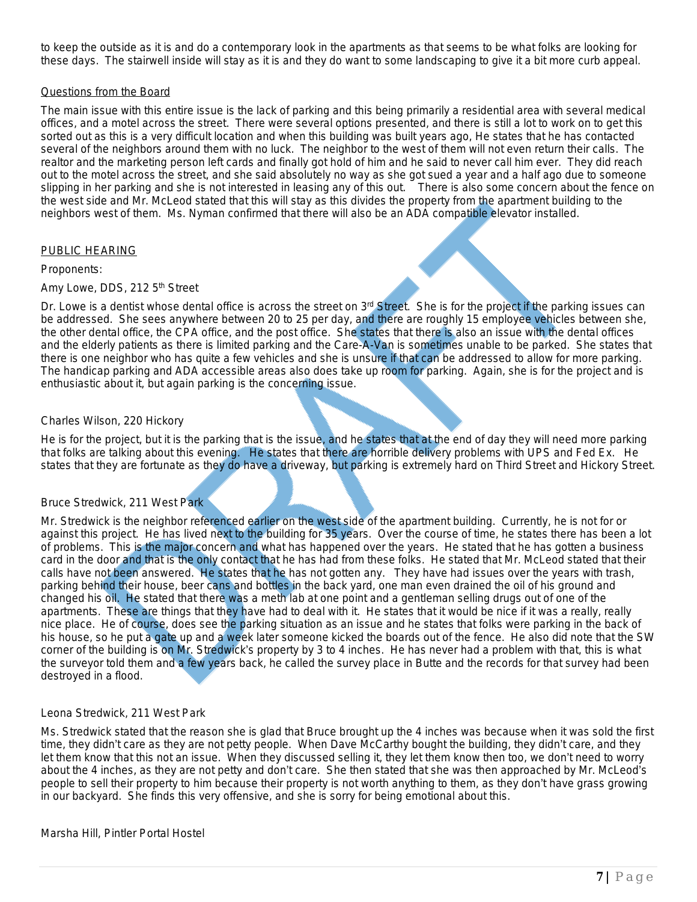to keep the outside as it is and do a contemporary look in the apartments as that seems to be what folks are looking for these days. The stairwell inside will stay as it is and they do want to some landscaping to give it a bit more curb appeal.

# Questions from the Board

The main issue with this entire issue is the lack of parking and this being primarily a residential area with several medical offices, and a motel across the street. There were several options presented, and there is still a lot to work on to get this sorted out as this is a very difficult location and when this building was built years ago, He states that he has contacted several of the neighbors around them with no luck. The neighbor to the west of them will not even return their calls. The realtor and the marketing person left cards and finally got hold of him and he said to never call him ever. They did reach out to the motel across the street, and she said absolutely no way as she got sued a year and a half ago due to someone slipping in her parking and she is not interested in leasing any of this out. There is also some concern about the fence on the west side and Mr. McLeod stated that this will stay as this divides the property from the apartment building to the neighbors west of them. Ms. Nyman confirmed that there will also be an ADA compatible elevator installed.

# PUBLIC HEARING

#### Proponents:

# Amy Lowe, DDS, 212 5<sup>th</sup> Street

Dr. Lowe is a dentist whose dental office is across the street on  $3<sup>rd</sup>$  Street. She is for the project if the parking issues can be addressed. She sees anywhere between 20 to 25 per day, and there are roughly 15 employee vehicles between she, the other dental office, the CPA office, and the post office. She states that there is also an issue with the dental offices and the elderly patients as there is limited parking and the Care-A-Van is sometimes unable to be parked. She states that there is one neighbor who has quite a few vehicles and she is unsure if that can be addressed to allow for more parking. The handicap parking and ADA accessible areas also does take up room for parking. Again, she is for the project and is enthusiastic about it, but again parking is the concerning issue.

# Charles Wilson, 220 Hickory

He is for the project, but it is the parking that is the issue, and he states that at the end of day they will need more parking that folks are talking about this evening. He states that there are horrible delivery problems with UPS and Fed Ex. He states that they are fortunate as they do have a driveway, but parking is extremely hard on Third Street and Hickory Street.

#### Bruce Stredwick, 211 West Park

Mr. Stredwick is the neighbor referenced earlier on the west side of the apartment building. Currently, he is not for or against this project. He has lived next to the building for 35 years. Over the course of time, he states there has been a lot of problems. This is the major concern and what has happened over the years. He stated that he has gotten a business card in the door and that is the only contact that he has had from these folks. He stated that Mr. McLeod stated that their calls have not been answered. He states that he has not gotten any. They have had issues over the years with trash, parking behind their house, beer cans and bottles in the back yard, one man even drained the oil of his ground and changed his oil. He stated that there was a meth lab at one point and a gentleman selling drugs out of one of the apartments. These are things that they have had to deal with it. He states that it would be nice if it was a really, really nice place. He of course, does see the parking situation as an issue and he states that folks were parking in the back of his house, so he put a gate up and a week later someone kicked the boards out of the fence. He also did note that the SW corner of the building is on Mr. Stredwick's property by 3 to 4 inches. He has never had a problem with that, this is what the surveyor told them and a few years back, he called the survey place in Butte and the records for that survey had been destroyed in a flood.

#### Leona Stredwick, 211 West Park

Ms. Stredwick stated that the reason she is glad that Bruce brought up the 4 inches was because when it was sold the first time, they didn't care as they are not petty people. When Dave McCarthy bought the building, they didn't care, and they let them know that this not an issue. When they discussed selling it, they let them know then too, we don't need to worry about the 4 inches, as they are not petty and don't care. She then stated that she was then approached by Mr. McLeod's people to sell their property to him because their property is not worth anything to them, as they don't have grass growing in our backyard. She finds this very offensive, and she is sorry for being emotional about this.

#### Marsha Hill, Pintler Portal Hostel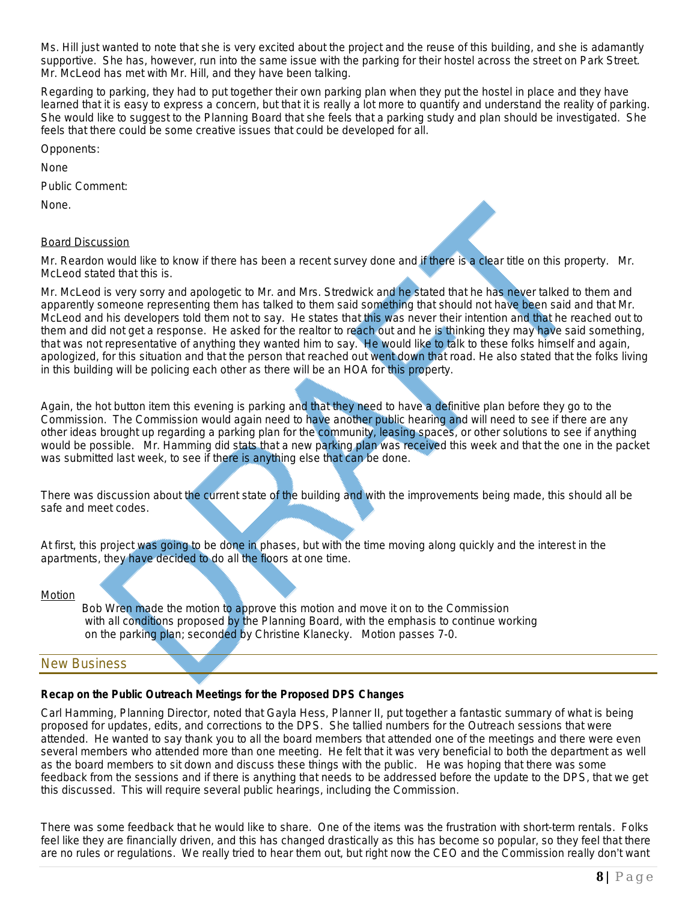Ms. Hill just wanted to note that she is very excited about the project and the reuse of this building, and she is adamantly supportive. She has, however, run into the same issue with the parking for their hostel across the street on Park Street. Mr. McLeod has met with Mr. Hill, and they have been talking.

Regarding to parking, they had to put together their own parking plan when they put the hostel in place and they have learned that it is easy to express a concern, but that it is really a lot more to quantify and understand the reality of parking. She would like to suggest to the Planning Board that she feels that a parking study and plan should be investigated. She feels that there could be some creative issues that could be developed for all.

Opponents:

None

Public Comment:

None.

# Board Discussion

Mr. Reardon would like to know if there has been a recent survey done and if there is a clear title on this property. Mr. McLeod stated that this is.

Mr. McLeod is very sorry and apologetic to Mr. and Mrs. Stredwick and he stated that he has never talked to them and apparently someone representing them has talked to them said something that should not have been said and that Mr. McLeod and his developers told them not to say. He states that this was never their intention and that he reached out to them and did not get a response. He asked for the realtor to reach out and he is thinking they may have said something, that was not representative of anything they wanted him to say. He would like to talk to these folks himself and again, apologized, for this situation and that the person that reached out went down that road. He also stated that the folks living in this building will be policing each other as there will be an HOA for this property.

Again, the hot button item this evening is parking and that they need to have a definitive plan before they go to the Commission. The Commission would again need to have another public hearing and will need to see if there are any other ideas brought up regarding a parking plan for the community, leasing spaces, or other solutions to see if anything would be possible. Mr. Hamming did stats that a new parking plan was received this week and that the one in the packet was submitted last week, to see if there is anything else that can be done.

There was discussion about the current state of the building and with the improvements being made, this should all be safe and meet codes.

At first, this project was going to be done in phases, but with the time moving along quickly and the interest in the apartments, they have decided to do all the floors at one time.

#### **Motion**

*Bob Wren made the motion to approve this motion and move it on to the Commission with all conditions proposed by the Planning Board, with the emphasis to continue working on the parking plan; seconded by Christine Klanecky. Motion passes 7-0.*

# New Business

# **Recap on the Public Outreach Meetings for the Proposed DPS Changes**

Carl Hamming, Planning Director, noted that Gayla Hess, Planner II, put together a fantastic summary of what is being proposed for updates, edits, and corrections to the DPS. She tallied numbers for the Outreach sessions that were attended. He wanted to say thank you to all the board members that attended one of the meetings and there were even several members who attended more than one meeting. He felt that it was very beneficial to both the department as well as the board members to sit down and discuss these things with the public. He was hoping that there was some feedback from the sessions and if there is anything that needs to be addressed before the update to the DPS, that we get this discussed. This will require several public hearings, including the Commission.

There was some feedback that he would like to share. One of the items was the frustration with short-term rentals. Folks feel like they are financially driven, and this has changed drastically as this has become so popular, so they feel that there are no rules or regulations. We really tried to hear them out, but right now the CEO and the Commission really don't want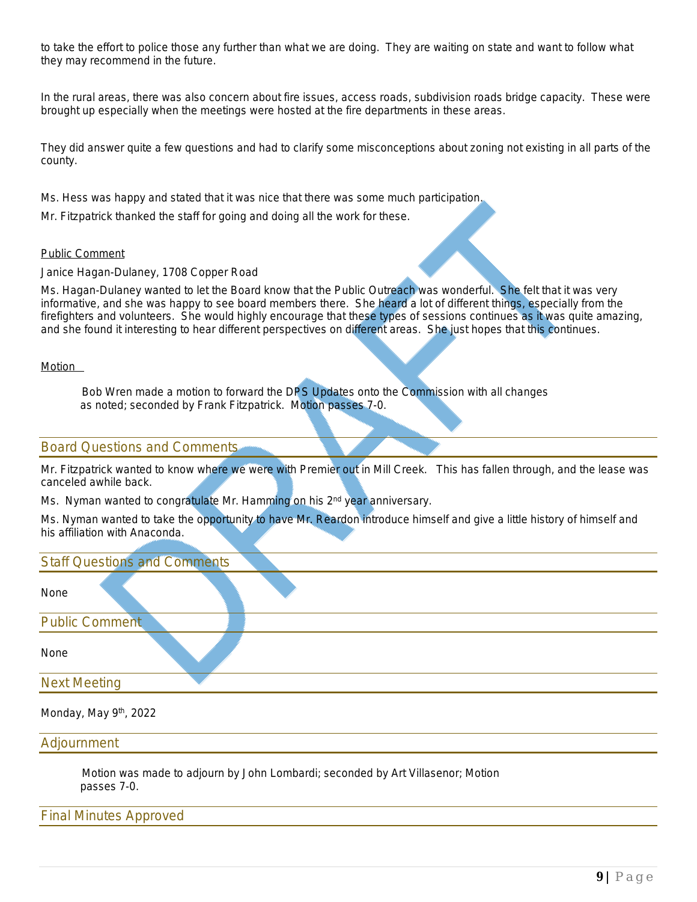to take the effort to police those any further than what we are doing. They are waiting on state and want to follow what they may recommend in the future.

In the rural areas, there was also concern about fire issues, access roads, subdivision roads bridge capacity. These were brought up especially when the meetings were hosted at the fire departments in these areas.

They did answer quite a few questions and had to clarify some misconceptions about zoning not existing in all parts of the county.

Ms. Hess was happy and stated that it was nice that there was some much participation.

Mr. Fitzpatrick thanked the staff for going and doing all the work for these.

#### Public Comment

Janice Hagan-Dulaney, 1708 Copper Road

Ms. Hagan-Dulaney wanted to let the Board know that the Public Outreach was wonderful. She felt that it was very informative, and she was happy to see board members there. She heard a lot of different things, especially from the firefighters and volunteers. She would highly encourage that these types of sessions continues as it was quite amazing, and she found it interesting to hear different perspectives on different areas. She just hopes that this continues.

#### Motion

Bob Wren made a motion to forward the DPS Updates onto the Commission with all changes as noted; seconded by Frank Fitzpatrick. Motion passes 7-0.

# Board Questions and Comments

Mr. Fitzpatrick wanted to know where we were with Premier out in Mill Creek. This has fallen through, and the lease was canceled awhile back.

Ms. Nyman wanted to congratulate Mr. Hamming on his 2<sup>nd</sup> year anniversary.

Ms. Nyman wanted to take the opportunity to have Mr. Reardon introduce himself and give a little history of himself and his affiliation with Anaconda.

| <b>Staff Questions and Comments</b> |
|-------------------------------------|
| None                                |
| <b>Public Comment</b>               |
| None                                |
| <b>Next Meeting</b>                 |
| Monday, May 9th, 2022               |

Adjournment

*Motion was made to adjourn by John Lombardi; seconded by Art Villasenor; Motion passes 7-0.*

Final Minutes Approved